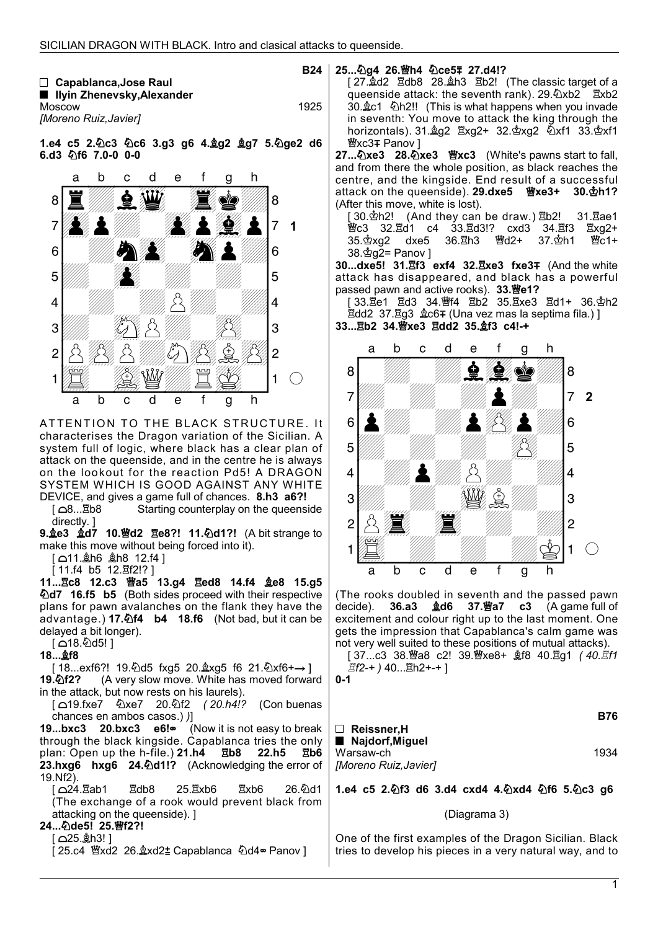|                              | <b>B24</b> |
|------------------------------|------------|
| $\Box$ Capablanca, Jose Raul |            |
| ■ Ilyin Zhenevsky,Alexander  |            |
| Moscow                       | 1925       |
| [Moreno Ruiz,Javier]         |            |

1.e4 c5 2.4c3 4c6 3.g3 g6 4.\$g2 \$g7 5.4 ge2 d6 6.d3  $$$ f6 7.0-0 0-0



ATTENTION TO THE BLACK STRUCTURE. It characterises the Dragon variation of the Sicilian. A system full of logic, where black has a clear plan of attack on the queenside, and in the centre he is always on the lookout for the reaction Pd5! A DRAGON SYSTEM WHICH IS GOOD AGAINST ANY WHITE

**DEVICE, and gives a game full of chances. 8.h3 a6?!**<br>[  $\triangle$ 8...kd]b8 **Starting counterplay on the queens** Starting counterplay on the queenside directly. ]

9. e3 gd7 10. 曾d2 de8?! 11. Dd1?! (A bit strange to make this move without being forced into it).

 $[$  11. $\&$ h6  $\&$ h8 12.f4 ]

 $[11.14 \t{b5} 12.212!]$ 

11...Ec8 12.c3 曾a5 13.g4 Eed8 14.f4 奠e8 15.g5 d7 16.f5 b5 (Both sides proceed with their respective plans for pawn avalanches on the flank they have the advantage.) 17. $\Phi$ 14 b4 18.f6 (Not bad, but it can be delayed a bit longer).

 $[$  18. $\&$ d5! ]

18...**the** 18

[ 18...exf6?! 19.۞d5 fxg5 20. $\&$ xg5 f6 21.۞xf6+→ ]<br>**19.۞f2?** (A very slow move. White has moved forwar (A very slow move. White has moved forward in the attack, but now rests on his laurels).

 [ 19.fxe7 xe7 20.f2 ( 20.h4!? (Con buenas chances en ambos casos.) )]

19...bxc3 20.bxc3 e6! (Now it is not easy to break through the black kingside. Capablanca tries the only plan: Open up the h-file.)  $21.h4$   $\overline{2}b8$  22.h5  $\overline{2}b6$ 23.hxg6 hxg6 24.4d1!? (Acknowledging the error of 19.Nf2).

[ △24.ឌីab1 ឌីdb8 25.ឌីxb6 ឌីxb6 26.టేd1 (The exchange of a rook would prevent black from attacking on the queenside). ]

# 24... 2de5! 25. 窗f2?!

 $[$   $\triangle$ 25. $\&$ h3! ]

[ 25.c4 營xd2 26. gxd2 t Capablanca 公d4 · Panov ]

## 25... 2a4 26. 曾h4 2ce5 = 27.d4!?

[ 27. gd2 Edb8 28. gh3 Eb2! (The classic target of a queenside attack: the seventh rank).  $29.\&$   $\times$   $b2$   $\times$   $b2$ 30. c1  $\&$ h2!! (This is what happens when you invade in seventh: You move to attack the king through the horizontals).  $31.\text{\AA}$ g2  $\text{\AA}$ xg2+  $32.\text{\AA}$ xg2  $\text{\AA}$ xf1  $33.\text{\AA}$ xf1 *W***xc3∓ Panov** ]

27... 2xe3 28. 2xe3 曹xc3 (White's pawns start to fall, and from there the whole position, as black reaches the centre, and the kingside. End result of a successful attack on the queenside). 29.dxe5 曾xe3+ 30. \$h1? (After this move, white is lost).

 $30.\Phi h2!$  (And they can be draw.)  $\mathbb{E}b2!$  31.  $\mathbb{E}ae1$ 曾c3 32.፰d1 c4 33.፰d3!? cxd3 34.፰f3 ፰xg2+<br>35.ዽxɑ2 dxe5 36.፰h3 빨d2+ 37.ዽh1 뺠c1+ 35. $\Delta$ xg2 dxe5 38. $\Phi$ g2= Panov ]

30...dxe5! 31.hf3 exf4 32. Exe3 fxe3 F (And the white attack has disappeared, and black has a powerful passed pawn and active rooks).  $33.\overline{w}e1?$ 

[ 33. he 1 had 34. \ff4 html b2 35. html 36. \dotal 42 d1+ 36. \dotal b12  $\overline{2}$ dd2 37. $\overline{2}$ g3  $\&c6$ ∓ (Una vez mas la septima fila.) ]

33... hb2 34. 曾xe3 且dd2 35. gf3 c4!-+



(The rooks doubled in seventh and the passed pawn decide). **36.a3**  $\triangleleft$ **d6 37.** $\anglestack{m}{2}$ **a7 c3** (A game full of excitement and colour right up to the last moment. One gets the impression that Capablanca's calm game was not very well suited to these positions of mutual attacks).

[ 37...c3 38. laa8 c2! 39. laast – gt8 40. gq1 (40. gt1 *置f2-+* ) 40... $\overline{2}$ h2+-+ ]

0-1

|                      | B76  |
|----------------------|------|
| $\Box$ Reissner,H    |      |
| ■ Najdorf, Miguel    |      |
| Warsaw-ch            | 1934 |
| [Moreno Ruiz,Javier] |      |

1.e4 c5 2.2f3 d6 3.d4 cxd4 4.2xd4 2f6 5.2c3 g6

## (Diagrama 3)

One of the first examples of the Dragon Sicilian. Black tries to develop his pieces in a very natural way, and to